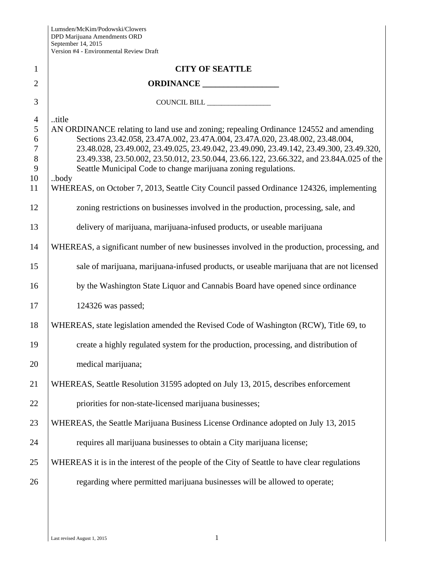| $\mathbf{1}$                                           | <b>CITY OF SEATTLE</b>                                                                                                                                                                                                                                                                                                                                                                                                                          |
|--------------------------------------------------------|-------------------------------------------------------------------------------------------------------------------------------------------------------------------------------------------------------------------------------------------------------------------------------------------------------------------------------------------------------------------------------------------------------------------------------------------------|
| $\overline{2}$                                         |                                                                                                                                                                                                                                                                                                                                                                                                                                                 |
| 3                                                      | COUNCIL BILL _______________                                                                                                                                                                                                                                                                                                                                                                                                                    |
| $\overline{4}$<br>5<br>6<br>$\tau$<br>$8\,$<br>9<br>10 | title<br>AN ORDINANCE relating to land use and zoning; repealing Ordinance 124552 and amending<br>Sections 23.42.058, 23.47A.002, 23.47A.004, 23.47A.020, 23.48.002, 23.48.004,<br>23.48.028, 23.49.002, 23.49.025, 23.49.042, 23.49.090, 23.49.142, 23.49.300, 23.49.320,<br>23.49.338, 23.50.002, 23.50.012, 23.50.044, 23.66.122, 23.66.322, and 23.84A.025 of the<br>Seattle Municipal Code to change marijuana zoning regulations.<br>body |
| 11                                                     | WHEREAS, on October 7, 2013, Seattle City Council passed Ordinance 124326, implementing                                                                                                                                                                                                                                                                                                                                                         |
| 12                                                     | zoning restrictions on businesses involved in the production, processing, sale, and                                                                                                                                                                                                                                                                                                                                                             |
| 13                                                     | delivery of marijuana, marijuana-infused products, or useable marijuana                                                                                                                                                                                                                                                                                                                                                                         |
| 14                                                     | WHEREAS, a significant number of new businesses involved in the production, processing, and                                                                                                                                                                                                                                                                                                                                                     |
| 15                                                     | sale of marijuana, marijuana-infused products, or useable marijuana that are not licensed                                                                                                                                                                                                                                                                                                                                                       |
| 16                                                     | by the Washington State Liquor and Cannabis Board have opened since ordinance                                                                                                                                                                                                                                                                                                                                                                   |
| 17                                                     | 124326 was passed;                                                                                                                                                                                                                                                                                                                                                                                                                              |
| 18                                                     | WHEREAS, state legislation amended the Revised Code of Washington (RCW), Title 69, to                                                                                                                                                                                                                                                                                                                                                           |
| 19                                                     | create a highly regulated system for the production, processing, and distribution of                                                                                                                                                                                                                                                                                                                                                            |
| 20                                                     | medical marijuana;                                                                                                                                                                                                                                                                                                                                                                                                                              |
| 21                                                     | WHEREAS, Seattle Resolution 31595 adopted on July 13, 2015, describes enforcement                                                                                                                                                                                                                                                                                                                                                               |
| 22                                                     | priorities for non-state-licensed marijuana businesses;                                                                                                                                                                                                                                                                                                                                                                                         |
| 23                                                     | WHEREAS, the Seattle Marijuana Business License Ordinance adopted on July 13, 2015                                                                                                                                                                                                                                                                                                                                                              |
| 24                                                     | requires all marijuana businesses to obtain a City marijuana license;                                                                                                                                                                                                                                                                                                                                                                           |
| 25                                                     | WHEREAS it is in the interest of the people of the City of Seattle to have clear regulations                                                                                                                                                                                                                                                                                                                                                    |
| 26                                                     | regarding where permitted marijuana businesses will be allowed to operate;                                                                                                                                                                                                                                                                                                                                                                      |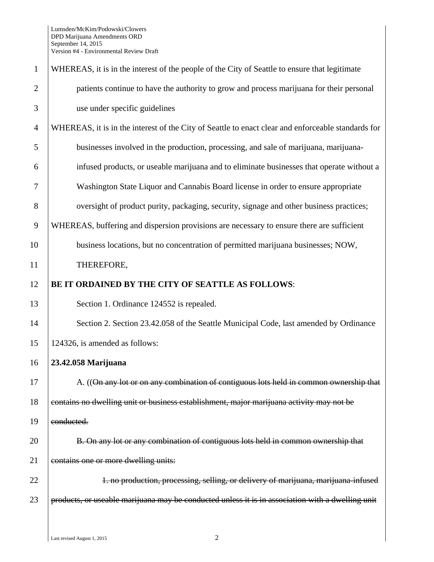| $\mathbf{1}$   | WHEREAS, it is in the interest of the people of the City of Seattle to ensure that legitimate      |
|----------------|----------------------------------------------------------------------------------------------------|
| $\overline{2}$ | patients continue to have the authority to grow and process marijuana for their personal           |
| 3              | use under specific guidelines                                                                      |
| $\overline{4}$ | WHEREAS, it is in the interest of the City of Seattle to enact clear and enforceable standards for |
| 5              | businesses involved in the production, processing, and sale of marijuana, marijuana-               |
| 6              | infused products, or useable marijuana and to eliminate businesses that operate without a          |
| 7              | Washington State Liquor and Cannabis Board license in order to ensure appropriate                  |
| 8              | oversight of product purity, packaging, security, signage and other business practices;            |
| 9              | WHEREAS, buffering and dispersion provisions are necessary to ensure there are sufficient          |
| 10             | business locations, but no concentration of permitted marijuana businesses; NOW,                   |
| 11             | THEREFORE,                                                                                         |
| 12             | BE IT ORDAINED BY THE CITY OF SEATTLE AS FOLLOWS:                                                  |
| 13             | Section 1. Ordinance 124552 is repealed.                                                           |
| 14             | Section 2. Section 23.42.058 of the Seattle Municipal Code, last amended by Ordinance              |
| 15             | 124326, is amended as follows:                                                                     |
| 16             | 23.42.058 Marijuana                                                                                |
| 17             | A. ((On any lot or on any combination of contiguous lots held in common ownership that             |
| 18             | contains no dwelling unit or business establishment, major marijuana activity may not be           |
| 19             | conducted.                                                                                         |
| 20             | B. On any lot or any combination of contiguous lots held in common ownership that                  |
| 21             | contains one or more dwelling units:                                                               |
| 22             | 1. no production, processing, selling, or delivery of marijuana, marijuana infused                 |
| 23             | products, or useable marijuana may be conducted unless it is in association with a dwelling unit   |
|                |                                                                                                    |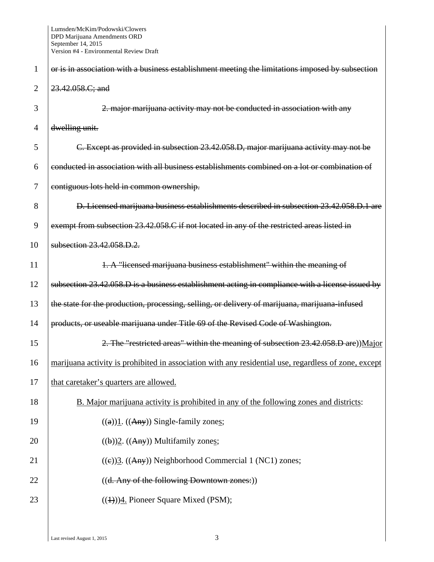| 1              | or is in association with a business establishment meeting the limitations imposed by subsection     |
|----------------|------------------------------------------------------------------------------------------------------|
| $\overline{2}$ | 23.42.058.C; and                                                                                     |
| 3              | 2. major marijuana activity may not be conducted in association with any                             |
| 4              | dwelling unit.                                                                                       |
| 5              | C. Except as provided in subsection 23.42.058.D, major marijuana activity may not be                 |
| 6              | conducted in association with all business establishments combined on a lot or combination of        |
| 7              | contiguous lots held in common ownership.                                                            |
| 8              | D. Licensed marijuana business establishments described in subsection 23.42.058.D.1 are              |
| 9              | exempt from subsection 23.42.058.C if not located in any of the restricted areas listed in           |
| 10             | subsection 23.42.058.D.2.                                                                            |
| 11             | 1. A "licensed marijuana business establishment" within the meaning of                               |
| 12             | subsection 23.42.058.D is a business establishment acting in compliance with a license issued by     |
| 13             | the state for the production, processing, selling, or delivery of marijuana, marijuana-infused       |
| 14             | products, or useable marijuana under Title 69 of the Revised Code of Washington.                     |
| 15             | 2. The "restricted areas" within the meaning of subsection 23.42.058.D are))Major                    |
| 16             | marijuana activity is prohibited in association with any residential use, regardless of zone, except |
| 17             | that caretaker's quarters are allowed.                                                               |
| 18             | B. Major marijuana activity is prohibited in any of the following zones and districts:               |
| 19             | $((a))1. ((Any))$ Single-family zones;                                                               |
| 20             | $((b))2. ((Any))$ Multifamily zones;                                                                 |
| 21             | $((e))$ 3. $((Any))$ Neighborhood Commercial 1 (NC1) zones;                                          |
| 22             | ((d. Any of the following Downtown zones:))                                                          |
| 23             | $((1))$ <sup>4</sup> . Pioneer Square Mixed (PSM);                                                   |
|                |                                                                                                      |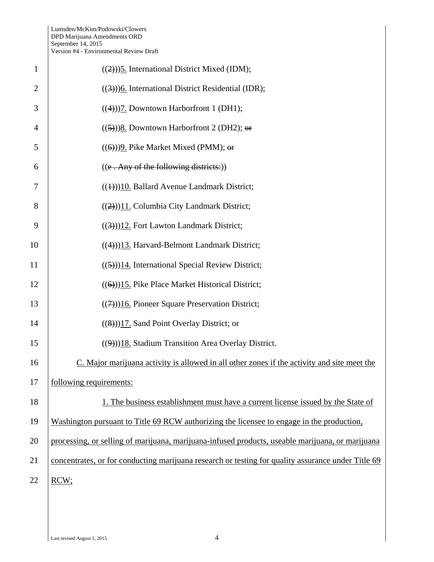| $\mathbf{1}$   | $((2))$ <sup>5</sup> . International District Mixed (IDM);                                         |
|----------------|----------------------------------------------------------------------------------------------------|
| $\overline{2}$ | $((3))$ <sup>6</sup> . International District Residential (IDR);                                   |
| 3              | $((4))$ ]. Downtown Harborfront 1 (DH1);                                                           |
| 4              | $((5))$ 8. Downtown Harborfront 2 (DH2); or                                                        |
| 5              | $((6))$ ) $\overline{9}$ . Pike Market Mixed (PMM); or                                             |
| 6              | $((e. Any of the following districts:))$                                                           |
| 7              | $((1))$ 10. Ballard Avenue Landmark District;                                                      |
| 8              | $((2))$ 11. Columbia City Landmark District;                                                       |
| 9              | $((3))12$ . Fort Lawton Landmark District;                                                         |
| 10             | $((4))$ 13. Harvard-Belmont Landmark District;                                                     |
| 11             | $((5))$ 14. International Special Review District;                                                 |
| 12             | $((6))$ 15. Pike Place Market Historical District;                                                 |
| 13             | $((7))$ 16. Pioneer Square Preservation District;                                                  |
| 14             | $((8))$ 17. Sand Point Overlay District; or                                                        |
| 15             | $((9))18$ . Stadium Transition Area Overlay District.                                              |
| 16             | C. Major marijuana activity is allowed in all other zones if the activity and site meet the        |
| 17             | following requirements:                                                                            |
| 18             | 1. The business establishment must have a current license issued by the State of                   |
| 19             | Washington pursuant to Title 69 RCW authorizing the licensee to engage in the production,          |
| 20             | processing, or selling of marijuana, marijuana-infused products, useable marijuana, or marijuana   |
| 21             | concentrates, or for conducting marijuana research or testing for quality assurance under Title 69 |
| 22             | RCW;                                                                                               |
|                |                                                                                                    |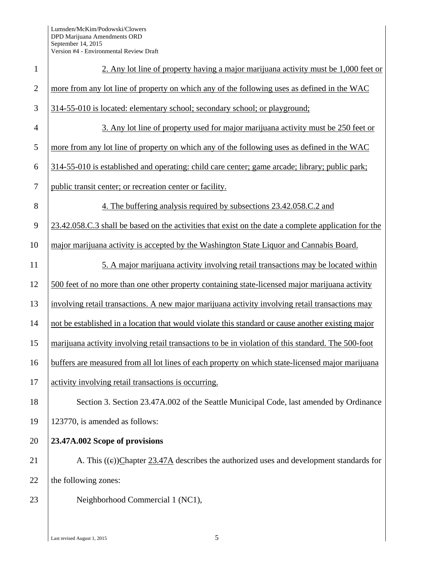| $\mathbf{1}$   | 2. Any lot line of property having a major marijuana activity must be 1,000 feet or                  |
|----------------|------------------------------------------------------------------------------------------------------|
| $\overline{2}$ | more from any lot line of property on which any of the following uses as defined in the WAC          |
| 3              | 314-55-010 is located: elementary school; secondary school; or playground;                           |
| $\overline{4}$ | 3. Any lot line of property used for major marijuana activity must be 250 feet or                    |
| 5              | more from any lot line of property on which any of the following uses as defined in the WAC          |
| 6              | 314-55-010 is established and operating: child care center; game arcade; library; public park;       |
| $\tau$         | public transit center; or recreation center or facility.                                             |
| 8              | 4. The buffering analysis required by subsections 23.42.058.C.2 and                                  |
| 9              | 23.42.058.C.3 shall be based on the activities that exist on the date a complete application for the |
| 10             | major marijuana activity is accepted by the Washington State Liquor and Cannabis Board.              |
| 11             | 5. A major marijuana activity involving retail transactions may be located within                    |
| 12             | 500 feet of no more than one other property containing state-licensed major marijuana activity       |
| 13             | involving retail transactions. A new major marijuana activity involving retail transactions may      |
| 14             | not be established in a location that would violate this standard or cause another existing major    |
| 15             | marijuana activity involving retail transactions to be in violation of this standard. The 500-foot   |
| 16             | buffers are measured from all lot lines of each property on which state-licensed major marijuana     |
| 17             | activity involving retail transactions is occurring.                                                 |
| 18             | Section 3. Section 23.47A.002 of the Seattle Municipal Code, last amended by Ordinance               |
| 19             | 123770, is amended as follows:                                                                       |
| 20             | 23.47A.002 Scope of provisions                                                                       |
| 21             | A. This $((e))$ Chapter 23.47A describes the authorized uses and development standards for           |
| 22             | the following zones:                                                                                 |
| 23             | Neighborhood Commercial 1 (NC1),                                                                     |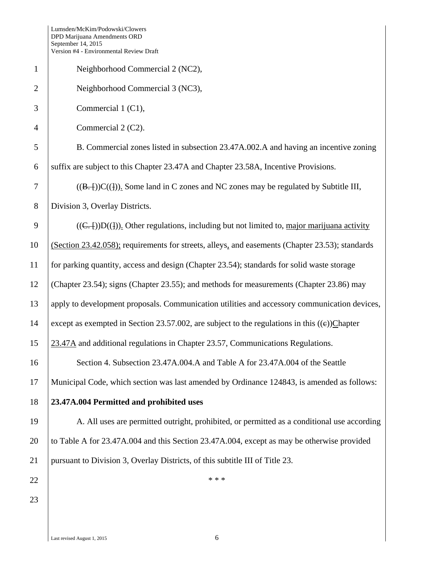|                | Version #4 - Environmental Review Draft                                                               |
|----------------|-------------------------------------------------------------------------------------------------------|
| $\mathbf{1}$   | Neighborhood Commercial 2 (NC2),                                                                      |
| $\overline{2}$ | Neighborhood Commercial 3 (NC3),                                                                      |
| 3              | Commercial 1 (C1),                                                                                    |
| $\overline{4}$ | Commercial 2 (C2).                                                                                    |
| 5              | B. Commercial zones listed in subsection 23.47A.002.A and having an incentive zoning                  |
| 6              | suffix are subject to this Chapter 23.47A and Chapter 23.58A, Incentive Provisions.                   |
| $\tau$         | $((B,-))C((1))$ . Some land in C zones and NC zones may be regulated by Subtitle III,                 |
| 8              | Division 3, Overlay Districts.                                                                        |
| $\mathbf{9}$   | $((C,-))D((\frac{1}{2}))$ . Other regulations, including but not limited to, major marijuana activity |
| 10             | (Section 23.42.058); requirements for streets, alleys, and easements (Chapter 23.53); standards       |
| 11             | for parking quantity, access and design (Chapter 23.54); standards for solid waste storage            |
| 12             | (Chapter 23.54); signs (Chapter 23.55); and methods for measurements (Chapter 23.86) may              |
| 13             | apply to development proposals. Communication utilities and accessory communication devices,          |
| 14             | except as exempted in Section 23.57.002, are subject to the regulations in this $((e))$ Chapter       |
| 15             | 23.47A and additional regulations in Chapter 23.57, Communications Regulations.                       |
| 16             | Section 4. Subsection 23.47A.004.A and Table A for 23.47A.004 of the Seattle                          |
| 17             | Municipal Code, which section was last amended by Ordinance 124843, is amended as follows:            |
| 18             | 23.47A.004 Permitted and prohibited uses                                                              |
| 19             | A. All uses are permitted outright, prohibited, or permitted as a conditional use according           |
| 20             | to Table A for 23.47A.004 and this Section 23.47A.004, except as may be otherwise provided            |
| 21             | pursuant to Division 3, Overlay Districts, of this subtitle III of Title 23.                          |
| 22             | * * *                                                                                                 |
| 23             |                                                                                                       |
|                |                                                                                                       |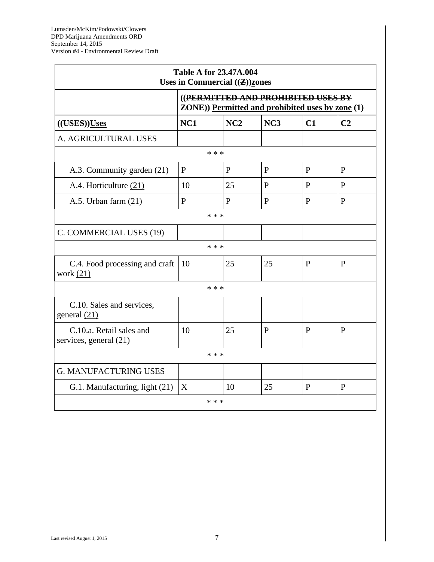r.

|                                                                                                |              | <b>Table A for 23.47A.004</b><br>Uses in Commercial $(\mathbf{Z})$ zones |              |              |                |
|------------------------------------------------------------------------------------------------|--------------|--------------------------------------------------------------------------|--------------|--------------|----------------|
| ((PERMITTED AND PROHIBITED USES BY<br><b>ZONE</b> )) Permitted and prohibited uses by zone (1) |              |                                                                          |              |              |                |
| (( <b>UES</b> )) <b>Uses</b>                                                                   | NC1          | NC2                                                                      | NC3          | C1           | C <sub>2</sub> |
| A. AGRICULTURAL USES                                                                           |              |                                                                          |              |              |                |
|                                                                                                |              | * * *                                                                    |              |              |                |
| A.3. Community garden (21)                                                                     | $\mathbf{P}$ | $\mathbf{P}$                                                             | $\mathbf{P}$ | $\mathbf{P}$ | $\mathbf{P}$   |
| A.4. Horticulture (21)                                                                         | 10           | 25                                                                       | $\mathbf{P}$ | $\mathbf{P}$ | $\mathbf{P}$   |
| A.5. Urban farm $(21)$                                                                         | $\mathbf{P}$ | $\mathbf{P}$                                                             | P            | P            | P              |
|                                                                                                |              | * * *                                                                    |              |              |                |
| C. COMMERCIAL USES (19)                                                                        |              |                                                                          |              |              |                |
|                                                                                                |              | * * *                                                                    |              |              |                |
| C.4. Food processing and craft<br>work $(21)$                                                  | 10           | 25                                                                       | 25           | P            | P              |
|                                                                                                |              | * * *                                                                    |              |              |                |
| C.10. Sales and services,<br>general $(21)$                                                    |              |                                                                          |              |              |                |
| C.10.a. Retail sales and<br>services, general $(21)$                                           | 10           | 25                                                                       | P            | $\mathbf{P}$ | P              |
|                                                                                                |              | * * *                                                                    |              |              |                |
| <b>G. MANUFACTURING USES</b>                                                                   |              |                                                                          |              |              |                |
| G.1. Manufacturing, light (21)                                                                 | X            | 10                                                                       | 25           | P            | $\mathbf{P}$   |
|                                                                                                |              | * * *                                                                    |              |              |                |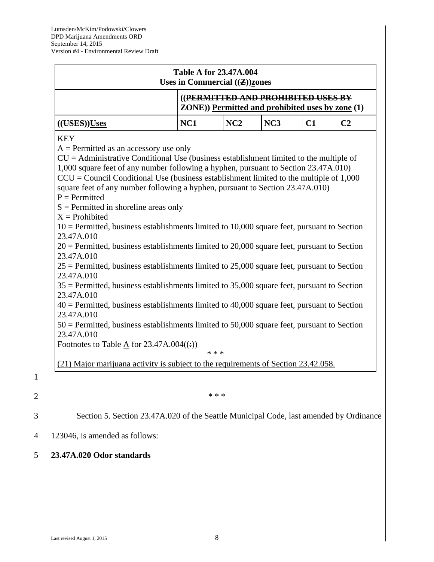|                                                                                                                                                                                                                                                                                                                                                                                                                                                                                                                                                                                                                                                                                                                                                                                                                                                                                                                                                                                                                                                                                                                                                                                                                                                                                                                                               | Uses in Commercial $((\mathbf{Z}))$ zones | <b>Table A for 23.47A.004</b>                                                                  |     |    |                |  |
|-----------------------------------------------------------------------------------------------------------------------------------------------------------------------------------------------------------------------------------------------------------------------------------------------------------------------------------------------------------------------------------------------------------------------------------------------------------------------------------------------------------------------------------------------------------------------------------------------------------------------------------------------------------------------------------------------------------------------------------------------------------------------------------------------------------------------------------------------------------------------------------------------------------------------------------------------------------------------------------------------------------------------------------------------------------------------------------------------------------------------------------------------------------------------------------------------------------------------------------------------------------------------------------------------------------------------------------------------|-------------------------------------------|------------------------------------------------------------------------------------------------|-----|----|----------------|--|
|                                                                                                                                                                                                                                                                                                                                                                                                                                                                                                                                                                                                                                                                                                                                                                                                                                                                                                                                                                                                                                                                                                                                                                                                                                                                                                                                               |                                           | ((PERMITTED AND PROHIBITED USES BY<br><b>ZONE</b> )) Permitted and prohibited uses by zone (1) |     |    |                |  |
| (( <b>UES</b> )) <b>Uses</b>                                                                                                                                                                                                                                                                                                                                                                                                                                                                                                                                                                                                                                                                                                                                                                                                                                                                                                                                                                                                                                                                                                                                                                                                                                                                                                                  | NC1                                       | NC2                                                                                            | NC3 | C1 | C <sub>2</sub> |  |
| <b>KEY</b><br>$A =$ Permitted as an accessory use only<br>$CU =$ Administrative Conditional Use (business establishment limited to the multiple of<br>1,000 square feet of any number following a hyphen, pursuant to Section 23.47A.010)<br>$CCU = Council Conditional Use (business establishment limited to the multiple of 1,000)$<br>square feet of any number following a hyphen, pursuant to Section 23.47A.010)<br>$P = Permitted$<br>$S =$ Permitted in shoreline areas only<br>$X =$ Prohibited<br>$10$ = Permitted, business establishments limited to 10,000 square feet, pursuant to Section<br>23.47A,010<br>$20$ = Permitted, business establishments limited to 20,000 square feet, pursuant to Section<br>23.47A.010<br>$25$ = Permitted, business establishments limited to 25,000 square feet, pursuant to Section<br>23.47A.010<br>$35$ = Permitted, business establishments limited to 35,000 square feet, pursuant to Section<br>23.47A.010<br>$40$ = Permitted, business establishments limited to 40,000 square feet, pursuant to Section<br>23.47A.010<br>$50$ = Permitted, business establishments limited to 50,000 square feet, pursuant to Section<br>23.47A.010<br>Footnotes to Table $\underline{A}$ for 23.47A.004((:))<br>(21) Major marijuana activity is subject to the requirements of Section 23.42.058. |                                           | * * *                                                                                          |     |    |                |  |
|                                                                                                                                                                                                                                                                                                                                                                                                                                                                                                                                                                                                                                                                                                                                                                                                                                                                                                                                                                                                                                                                                                                                                                                                                                                                                                                                               |                                           | * * *                                                                                          |     |    |                |  |
| Section 5. Section 23.47A.020 of the Seattle Municipal Code, last amended by Ordinance                                                                                                                                                                                                                                                                                                                                                                                                                                                                                                                                                                                                                                                                                                                                                                                                                                                                                                                                                                                                                                                                                                                                                                                                                                                        |                                           |                                                                                                |     |    |                |  |
|                                                                                                                                                                                                                                                                                                                                                                                                                                                                                                                                                                                                                                                                                                                                                                                                                                                                                                                                                                                                                                                                                                                                                                                                                                                                                                                                               |                                           |                                                                                                |     |    |                |  |
| 123046, is amended as follows:                                                                                                                                                                                                                                                                                                                                                                                                                                                                                                                                                                                                                                                                                                                                                                                                                                                                                                                                                                                                                                                                                                                                                                                                                                                                                                                |                                           |                                                                                                |     |    |                |  |

1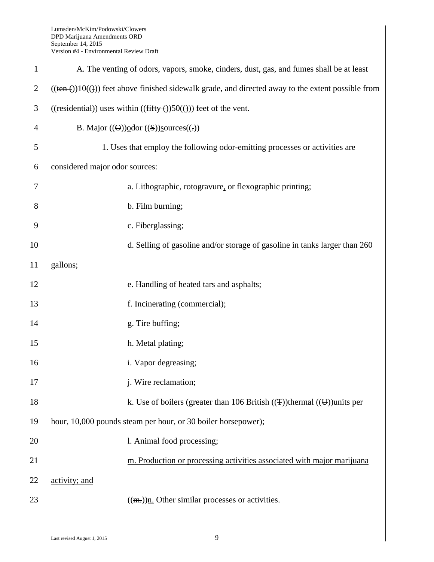| $\mathbf{1}$   | A. The venting of odors, vapors, smoke, cinders, dust, gas, and fumes shall be at least                              |  |  |  |
|----------------|----------------------------------------------------------------------------------------------------------------------|--|--|--|
| $\overline{2}$ | $((\text{ten}(\cdot))10((\cdot)))$ feet above finished sidewalk grade, and directed away to the extent possible from |  |  |  |
| 3              | $((residential))$ uses within $((fifty())50())$ feet of the vent.                                                    |  |  |  |
| 4              | B. Major $((\Theta))\text{odor } ((S))\text{sources}((.))$                                                           |  |  |  |
| 5              | 1. Uses that employ the following odor-emitting processes or activities are                                          |  |  |  |
| 6              | considered major odor sources:                                                                                       |  |  |  |
| 7              | a. Lithographic, rotogravure, or flexographic printing;                                                              |  |  |  |
| 8              | b. Film burning;                                                                                                     |  |  |  |
| 9              | c. Fiberglassing;                                                                                                    |  |  |  |
| 10             | d. Selling of gasoline and/or storage of gasoline in tanks larger than 260                                           |  |  |  |
| 11             | gallons;                                                                                                             |  |  |  |
| 12             | e. Handling of heated tars and asphalts;                                                                             |  |  |  |
| 13             | f. Incinerating (commercial);                                                                                        |  |  |  |
| 14             | g. Tire buffing;                                                                                                     |  |  |  |
| 15             | h. Metal plating;                                                                                                    |  |  |  |
| 16             | i. Vapor degreasing;                                                                                                 |  |  |  |
| 17             | j. Wire reclamation;                                                                                                 |  |  |  |
| 18             | k. Use of boilers (greater than 106 British $((\pm))$ thermal $((\pm))$ units per                                    |  |  |  |
| 19             | hour, 10,000 pounds steam per hour, or 30 boiler horsepower);                                                        |  |  |  |
| 20             | l. Animal food processing;                                                                                           |  |  |  |
| 21             | m. Production or processing activities associated with major marijuana                                               |  |  |  |
| 22             | activity; and                                                                                                        |  |  |  |
| 23             | $((m))$ . Other similar processes or activities.                                                                     |  |  |  |
|                |                                                                                                                      |  |  |  |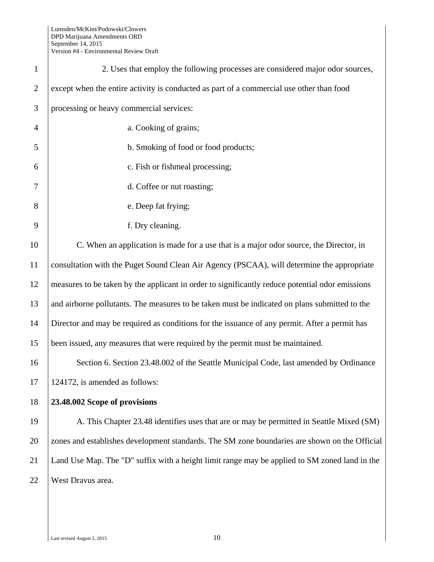| $\mathbf{1}$   | 2. Uses that employ the following processes are considered major odor sources,                  |
|----------------|-------------------------------------------------------------------------------------------------|
| $\overline{2}$ | except when the entire activity is conducted as part of a commercial use other than food        |
| 3              | processing or heavy commercial services:                                                        |
| $\overline{4}$ | a. Cooking of grains;                                                                           |
| 5              | b. Smoking of food or food products;                                                            |
| 6              | c. Fish or fishmeal processing;                                                                 |
| 7              | d. Coffee or nut roasting;                                                                      |
| 8              | e. Deep fat frying;                                                                             |
| 9              | f. Dry cleaning.                                                                                |
| 10             | C. When an application is made for a use that is a major odor source, the Director, in          |
| 11             | consultation with the Puget Sound Clean Air Agency (PSCAA), will determine the appropriate      |
| 12             | measures to be taken by the applicant in order to significantly reduce potential odor emissions |
| 13             | and airborne pollutants. The measures to be taken must be indicated on plans submitted to the   |
| 14             | Director and may be required as conditions for the issuance of any permit. After a permit has   |
| 15             | been issued, any measures that were required by the permit must be maintained.                  |
| 16             | Section 6. Section 23.48.002 of the Seattle Municipal Code, last amended by Ordinance           |
| 17             | 124172, is amended as follows:                                                                  |
| 18             | 23.48.002 Scope of provisions                                                                   |
| 19             | A. This Chapter 23.48 identifies uses that are or may be permitted in Seattle Mixed (SM)        |
| 20             | zones and establishes development standards. The SM zone boundaries are shown on the Official   |
| 21             | Land Use Map. The "D" suffix with a height limit range may be applied to SM zoned land in the   |
| 22             | West Dravus area.                                                                               |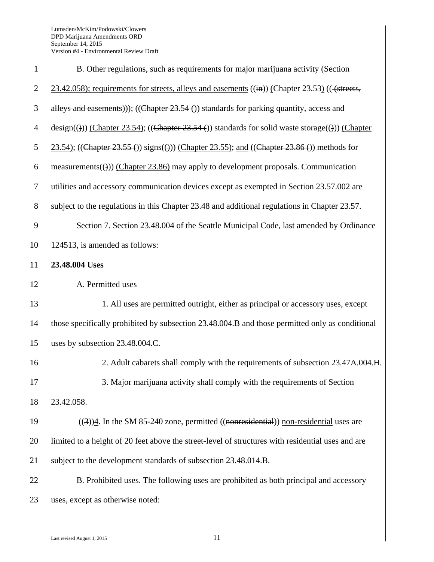| $\mathbf{1}$   | B. Other regulations, such as requirements for major marijuana activity (Section                                   |
|----------------|--------------------------------------------------------------------------------------------------------------------|
| $\overline{2}$ | $23.42.058$ ; requirements for streets, alleys and easements $((\text{in}))$ (Chapter 23.53) (( $(\text{streets},$ |
| 3              | alleys and easements)); ((Chapter $23.54$ ) standards for parking quantity, access and                             |
| $\overline{4}$ | $\text{design}(())$ (Chapter 23.54); ((Chapter 23.54 ()) standards for solid waste storage(())) (Chapter           |
| 5              | 23.54); ((Chapter 23.55 ()) signs(())) (Chapter 23.55); and ((Chapter 23.86 ()) methods for                        |
| 6              | measurements(())) (Chapter 23.86) may apply to development proposals. Communication                                |
| $\tau$         | utilities and accessory communication devices except as exempted in Section 23.57.002 are                          |
| 8              | subject to the regulations in this Chapter 23.48 and additional regulations in Chapter 23.57.                      |
| 9              | Section 7. Section 23.48.004 of the Seattle Municipal Code, last amended by Ordinance                              |
| 10             | 124513, is amended as follows:                                                                                     |
| 11             | 23.48.004 Uses                                                                                                     |
| 12             | A. Permitted uses                                                                                                  |
| 13             | 1. All uses are permitted outright, either as principal or accessory uses, except                                  |
| 14             | those specifically prohibited by subsection 23.48.004.B and those permitted only as conditional                    |
| 15             | uses by subsection 23.48.004.C.                                                                                    |
| 16             | 2. Adult cabarets shall comply with the requirements of subsection 23.47A.004.H.                                   |
| 17             | 3. Major marijuana activity shall comply with the requirements of Section                                          |
| 18             | 23.42.058.                                                                                                         |
| 19             | $((3))$ 4. In the SM 85-240 zone, permitted $((nonresidental))$ non-residential uses are                           |
| 20             | limited to a height of 20 feet above the street-level of structures with residential uses and are                  |
| 21             | subject to the development standards of subsection 23.48.014.B.                                                    |
| 22             | B. Prohibited uses. The following uses are prohibited as both principal and accessory                              |
| 23             | uses, except as otherwise noted:                                                                                   |
|                |                                                                                                                    |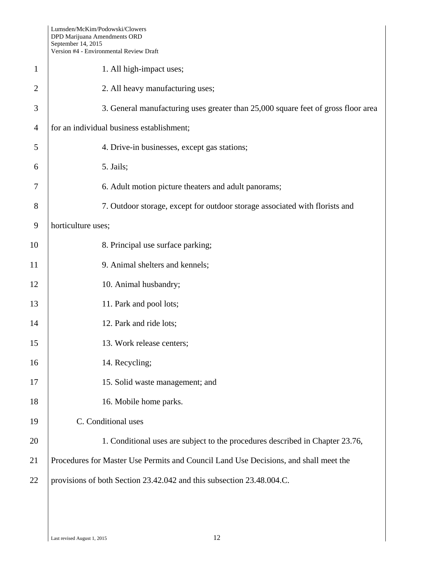|                | $\alpha$ ersion $\pi$ - Environmental Kevicw Dram                                    |
|----------------|--------------------------------------------------------------------------------------|
| $\mathbf{1}$   | 1. All high-impact uses;                                                             |
| $\overline{2}$ | 2. All heavy manufacturing uses;                                                     |
| 3              | 3. General manufacturing uses greater than 25,000 square feet of gross floor area    |
| $\overline{4}$ | for an individual business establishment;                                            |
| 5              | 4. Drive-in businesses, except gas stations;                                         |
| 6              | 5. Jails;                                                                            |
| 7              | 6. Adult motion picture theaters and adult panorams;                                 |
| 8              | 7. Outdoor storage, except for outdoor storage associated with florists and          |
| 9              | horticulture uses;                                                                   |
| 10             | 8. Principal use surface parking;                                                    |
| 11             | 9. Animal shelters and kennels;                                                      |
| 12             | 10. Animal husbandry;                                                                |
| 13             | 11. Park and pool lots;                                                              |
| 14             | 12. Park and ride lots;                                                              |
| 15             | 13. Work release centers;                                                            |
| 16             | 14. Recycling;                                                                       |
| 17             | 15. Solid waste management; and                                                      |
| 18             | 16. Mobile home parks.                                                               |
| 19             | C. Conditional uses                                                                  |
| 20             | 1. Conditional uses are subject to the procedures described in Chapter 23.76,        |
| 21             | Procedures for Master Use Permits and Council Land Use Decisions, and shall meet the |
| 22             | provisions of both Section 23.42.042 and this subsection 23.48.004.C.                |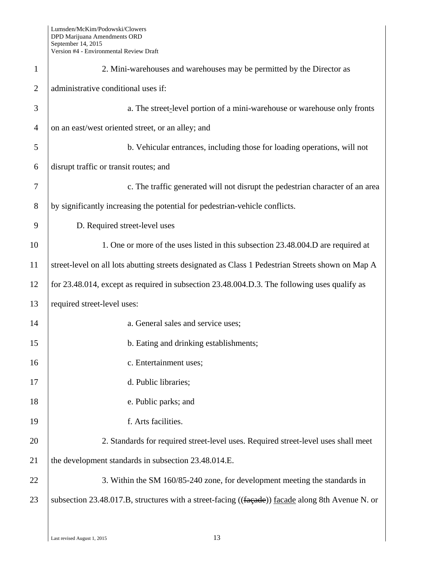| $\mathbf{1}$   | 2. Mini-warehouses and warehouses may be permitted by the Director as                             |
|----------------|---------------------------------------------------------------------------------------------------|
| $\overline{2}$ | administrative conditional uses if:                                                               |
| 3              | a. The street-level portion of a mini-warehouse or warehouse only fronts                          |
| $\overline{4}$ | on an east/west oriented street, or an alley; and                                                 |
| 5              | b. Vehicular entrances, including those for loading operations, will not                          |
| 6              | disrupt traffic or transit routes; and                                                            |
| 7              | c. The traffic generated will not disrupt the pedestrian character of an area                     |
| 8              | by significantly increasing the potential for pedestrian-vehicle conflicts.                       |
| 9              | D. Required street-level uses                                                                     |
| 10             | 1. One or more of the uses listed in this subsection 23.48.004.D are required at                  |
| 11             | street-level on all lots abutting streets designated as Class 1 Pedestrian Streets shown on Map A |
| 12             | for 23.48.014, except as required in subsection 23.48.004.D.3. The following uses qualify as      |
| 13             | required street-level uses:                                                                       |
| 14             | a. General sales and service uses;                                                                |
| 15             | b. Eating and drinking establishments;                                                            |
| 16             | c. Entertainment uses;                                                                            |
| 17             | d. Public libraries;                                                                              |
| 18             | e. Public parks; and                                                                              |
| 19             | f. Arts facilities.                                                                               |
| 20             | 2. Standards for required street-level uses. Required street-level uses shall meet                |
| 21             | the development standards in subsection 23.48.014.E.                                              |
| 22             | 3. Within the SM 160/85-240 zone, for development meeting the standards in                        |
| 23             | subsection 23.48.017.B, structures with a street-facing ((facade)) facade along 8th Avenue N. or  |
|                |                                                                                                   |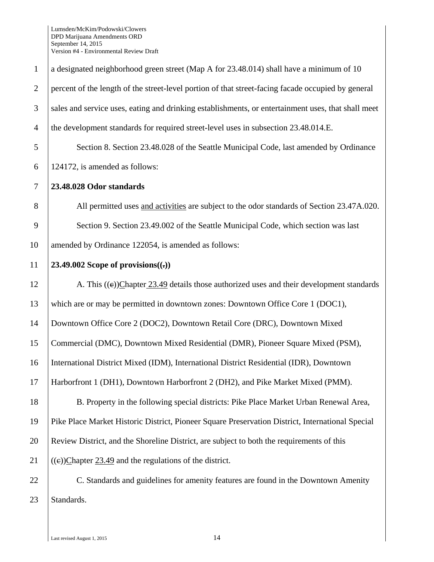| $\mathbf{1}$   | a designated neighborhood green street (Map A for 23.48.014) shall have a minimum of 10            |
|----------------|----------------------------------------------------------------------------------------------------|
| $\overline{2}$ | percent of the length of the street-level portion of that street-facing facade occupied by general |
| 3              | sales and service uses, eating and drinking establishments, or entertainment uses, that shall meet |
| $\overline{4}$ | the development standards for required street-level uses in subsection 23.48.014.E.                |
| 5              | Section 8. Section 23.48.028 of the Seattle Municipal Code, last amended by Ordinance              |
| 6              | 124172, is amended as follows:                                                                     |
| $\tau$         | 23.48.028 Odor standards                                                                           |
| 8              | All permitted uses and activities are subject to the odor standards of Section 23.47A.020.         |
| 9              | Section 9. Section 23.49.002 of the Seattle Municipal Code, which section was last                 |
| 10             | amended by Ordinance 122054, is amended as follows:                                                |
| 11             | 23.49.002 Scope of provisions $((.)$                                                               |
| 12             | A. This $((e))$ Chapter 23.49 details those authorized uses and their development standards        |
| 13             | which are or may be permitted in downtown zones: Downtown Office Core 1 (DOC1),                    |
| 14             | Downtown Office Core 2 (DOC2), Downtown Retail Core (DRC), Downtown Mixed                          |
| 15             | Commercial (DMC), Downtown Mixed Residential (DMR), Pioneer Square Mixed (PSM),                    |
| 16             | International District Mixed (IDM), International District Residential (IDR), Downtown             |
| 17             | Harborfront 1 (DH1), Downtown Harborfront 2 (DH2), and Pike Market Mixed (PMM).                    |
| 18             | B. Property in the following special districts: Pike Place Market Urban Renewal Area,              |
| 19             | Pike Place Market Historic District, Pioneer Square Preservation District, International Special   |
| 20             | Review District, and the Shoreline District, are subject to both the requirements of this          |
| 21             | $((e))$ Chapter 23.49 and the regulations of the district.                                         |
| 22             | C. Standards and guidelines for amenity features are found in the Downtown Amenity                 |
| 23             | Standards.                                                                                         |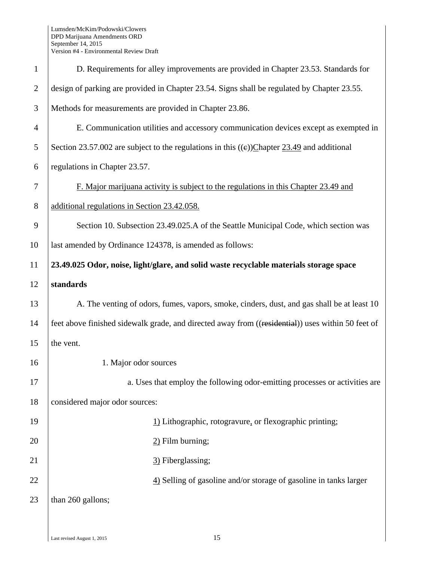| $\mathbf{1}$   | D. Requirements for alley improvements are provided in Chapter 23.53. Standards for               |
|----------------|---------------------------------------------------------------------------------------------------|
| $\mathfrak{2}$ | design of parking are provided in Chapter 23.54. Signs shall be regulated by Chapter 23.55.       |
| 3              | Methods for measurements are provided in Chapter 23.86.                                           |
| $\overline{4}$ | E. Communication utilities and accessory communication devices except as exempted in              |
| 5              | Section 23.57.002 are subject to the regulations in this $((e))$ Chapter 23.49 and additional     |
| 6              | regulations in Chapter 23.57.                                                                     |
| 7              | F. Major marijuana activity is subject to the regulations in this Chapter 23.49 and               |
| 8              | additional regulations in Section 23.42.058.                                                      |
| 9              | Section 10. Subsection 23.49.025.A of the Seattle Municipal Code, which section was               |
| 10             | last amended by Ordinance 124378, is amended as follows:                                          |
| 11             | 23.49.025 Odor, noise, light/glare, and solid waste recyclable materials storage space            |
| 12             | standards                                                                                         |
| 13             | A. The venting of odors, fumes, vapors, smoke, cinders, dust, and gas shall be at least 10        |
| 14             | feet above finished sidewalk grade, and directed away from ((residential)) uses within 50 feet of |
| 15             | the vent.                                                                                         |
| 16             | 1. Major odor sources                                                                             |
| 17             | a. Uses that employ the following odor-emitting processes or activities are                       |
| 18             | considered major odor sources:                                                                    |
| 19             | 1) Lithographic, rotogravure, or flexographic printing;                                           |
| 20             | $2)$ Film burning;                                                                                |
| 21             | 3) Fiberglassing;                                                                                 |
| 22             | 4) Selling of gasoline and/or storage of gasoline in tanks larger                                 |
| 23             | than 260 gallons;                                                                                 |
|                |                                                                                                   |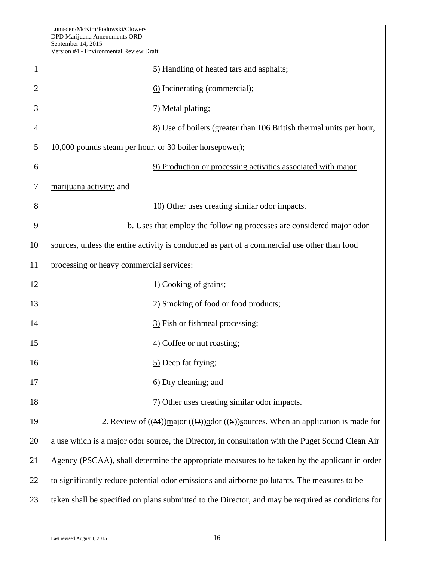| $\mathbf{1}$   | 5) Handling of heated tars and asphalts;                                                                            |
|----------------|---------------------------------------------------------------------------------------------------------------------|
| $\overline{2}$ | 6) Incinerating (commercial);                                                                                       |
| 3              | 7) Metal plating;                                                                                                   |
| $\overline{4}$ | 8) Use of boilers (greater than 106 British thermal units per hour,                                                 |
| 5              | 10,000 pounds steam per hour, or 30 boiler horsepower);                                                             |
| 6              | 9) Production or processing activities associated with major                                                        |
| 7              | marijuana activity; and                                                                                             |
| 8              | 10) Other uses creating similar odor impacts.                                                                       |
| 9              | b. Uses that employ the following processes are considered major odor                                               |
| 10             | sources, unless the entire activity is conducted as part of a commercial use other than food                        |
| 11             | processing or heavy commercial services:                                                                            |
| 12             | $\underline{1}$ Cooking of grains;                                                                                  |
| 13             | 2) Smoking of food or food products;                                                                                |
| 14             | 3) Fish or fishmeal processing;                                                                                     |
| 15             | $\underline{4}$ ) Coffee or nut roasting;                                                                           |
| 16             | 5) Deep fat frying;                                                                                                 |
| 17             | 6) Dry cleaning; and                                                                                                |
| 18             | $\frac{7}{2}$ Other uses creating similar odor impacts.                                                             |
| 19             | 2. Review of $((\mathbf{M}))$ major $((\mathbf{G}))$ odor $((\mathbf{S}))$ sources. When an application is made for |
| 20             | a use which is a major odor source, the Director, in consultation with the Puget Sound Clean Air                    |
| 21             | Agency (PSCAA), shall determine the appropriate measures to be taken by the applicant in order                      |
| 22             | to significantly reduce potential odor emissions and airborne pollutants. The measures to be                        |
| 23             | taken shall be specified on plans submitted to the Director, and may be required as conditions for                  |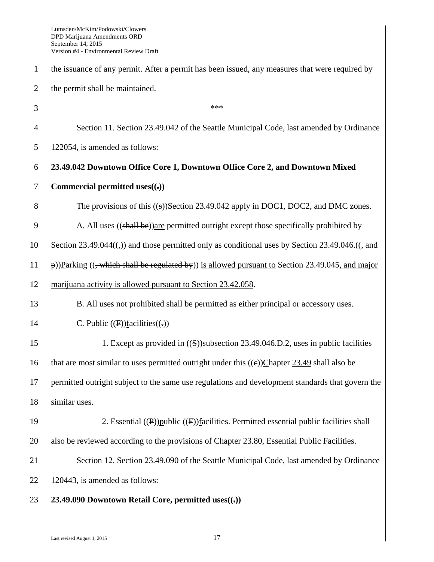1 the issuance of any permit. After a permit has been issued, any measures that were required by 2 the permit shall be maintained.  $3 \t + \t *$ 4 Section 11. Section 23.49.042 of the Seattle Municipal Code, last amended by Ordinance 5 122054, is amended as follows: 6 **23.49.042 Downtown Office Core 1, Downtown Office Core 2, and Downtown Mixed**  7 **Commercial permitted uses((.))**  8 The provisions of this ((s))Section 23.49.042 apply in DOC1, DOC2, and DMC zones. 9 A. All uses ((shall be)) are permitted outright except those specifically prohibited by 10 Section 23.49.044 $((\tau))$  and those permitted only as conditional uses by Section 23.49.046. $((\tau + \epsilon)$ 11  $|\phi\rangle$ )Parking ((, which shall be regulated by)) is allowed pursuant to Section 23.49.045, and major 12 | <u>marijuana activity is allowed pursuant to Section 23.42.058</u>. 13 B. All uses not prohibited shall be permitted as either principal or accessory uses. 14 C. Public  $((F))$ facilities $((=))$ 15 1. Except as provided in ((S))subsection 23.49.046. D<sub>.</sub>2, uses in public facilities 16 | that are most similar to uses permitted outright under this  $((e))$ Chapter 23.49 shall also be 17 permitted outright subject to the same use regulations and development standards that govern the 18 | similar uses. 19 | 2. Essential ((P))public ((F))facilities. Permitted essential public facilities shall 20 also be reviewed according to the provisions of Chapter 23.80, Essential Public Facilities. 21 Section 12. Section 23.49.090 of the Seattle Municipal Code, last amended by Ordinance 22 | 120443, is amended as follows: 23 **23.49.090 Downtown Retail Core, permitted uses((.))**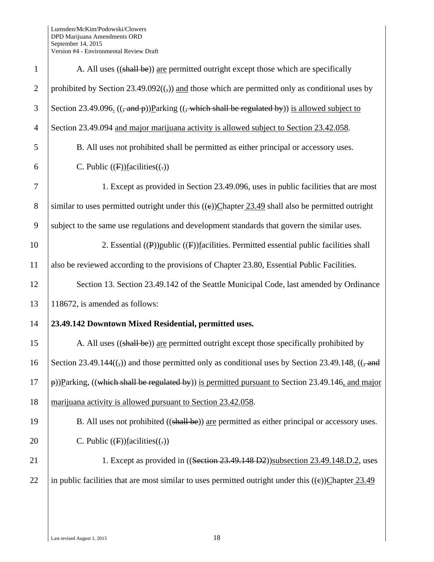| $\mathbf{1}$   | A. All uses ((shall be)) are permitted outright except those which are specifically                           |
|----------------|---------------------------------------------------------------------------------------------------------------|
| $\overline{2}$ | prohibited by Section $23.49.092((,))$ and those which are permitted only as conditional uses by              |
| 3              | Section 23.49.096. $((\text{and } p))$ Parking $((\text{which shall be regulated by}))$ is allowed subject to |
| $\overline{4}$ | Section 23.49.094 and major marijuana activity is allowed subject to Section 23.42.058.                       |
| 5              | B. All uses not prohibited shall be permitted as either principal or accessory uses.                          |
| 6              | C. Public $(F)$ facilities $((.)$                                                                             |
| $\tau$         | 1. Except as provided in Section 23.49.096, uses in public facilities that are most                           |
| $8\,$          | similar to uses permitted outright under this $((e))$ Chapter 23.49 shall also be permitted outright          |
| 9              | subject to the same use regulations and development standards that govern the similar uses.                   |
| 10             | 2. Essential $((P))$ public $((F))$ facilities. Permitted essential public facilities shall                   |
| 11             | also be reviewed according to the provisions of Chapter 23.80, Essential Public Facilities.                   |
| 12             | Section 13. Section 23.49.142 of the Seattle Municipal Code, last amended by Ordinance                        |
| 13             | 118672, is amended as follows:                                                                                |
| 14             | 23.49.142 Downtown Mixed Residential, permitted uses.                                                         |
| 15             | A. All uses ((shall be)) are permitted outright except those specifically prohibited by                       |
| 16             | Section 23.49.144 $((,))$ and those permitted only as conditional uses by Section 23.49.148. $((, and)$       |
| 17             | p))Parking, ((which shall be regulated by)) is permitted pursuant to Section 23.49.146, and major             |
| 18             | marijuana activity is allowed pursuant to Section 23.42.058.                                                  |
| 19             | B. All uses not prohibited ((shall be)) are permitted as either principal or accessory uses.                  |
| 20             | C. Public $(F)$ facilities $((.)$                                                                             |
| 21             | 1. Except as provided in ((Section 23.49.148 D2)) subsection 23.49.148.D.2, uses                              |
| 22             | in public facilities that are most similar to uses permitted outright under this $((e))$ Chapter 23.49        |
|                |                                                                                                               |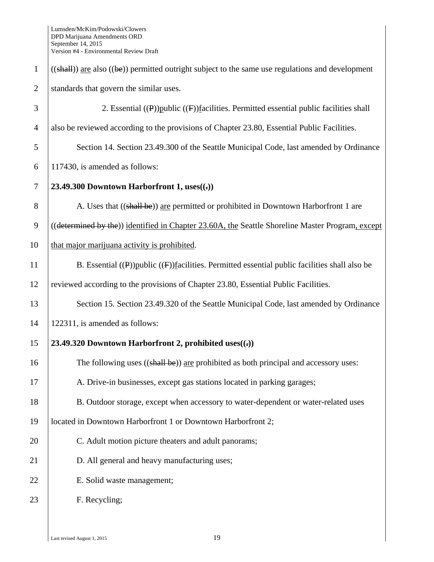| $\mathbf{1}$   | $((shall))$ are also $((be))$ permitted outright subject to the same use regulations and development |
|----------------|------------------------------------------------------------------------------------------------------|
| $\overline{2}$ | standards that govern the similar uses.                                                              |
| 3              | 2. Essential $((P))$ public $((F))$ facilities. Permitted essential public facilities shall          |
| $\overline{4}$ | also be reviewed according to the provisions of Chapter 23.80, Essential Public Facilities.          |
| 5              | Section 14. Section 23.49.300 of the Seattle Municipal Code, last amended by Ordinance               |
| 6              | 117430, is amended as follows:                                                                       |
| 7              | 23.49.300 Downtown Harborfront 1, $uses((.))$                                                        |
| 8              | A. Uses that ((shall be)) are permitted or prohibited in Downtown Harborfront 1 are                  |
| 9              | ((determined by the)) identified in Chapter 23.60A, the Seattle Shoreline Master Program, except     |
| 10             | that major marijuana activity is prohibited.                                                         |
| 11             | B. Essential $((P))$ public $((F))$ facilities. Permitted essential public facilities shall also be  |
| 12             | reviewed according to the provisions of Chapter 23.80, Essential Public Facilities.                  |
| 13             | Section 15. Section 23.49.320 of the Seattle Municipal Code, last amended by Ordinance               |
| 14             | 122311, is amended as follows:                                                                       |
| 15             | 23.49.320 Downtown Harborfront 2, prohibited uses $((.)$                                             |
| 16             | The following uses ((shall be)) are prohibited as both principal and accessory uses:                 |
| 17             | A. Drive-in businesses, except gas stations located in parking garages;                              |
| 18             | B. Outdoor storage, except when accessory to water-dependent or water-related uses                   |
| 19             | located in Downtown Harborfront 1 or Downtown Harborfront 2;                                         |
| 20             | C. Adult motion picture theaters and adult panorams;                                                 |
| 21             | D. All general and heavy manufacturing uses;                                                         |
| 22             | E. Solid waste management;                                                                           |
| 23             | F. Recycling;                                                                                        |
|                |                                                                                                      |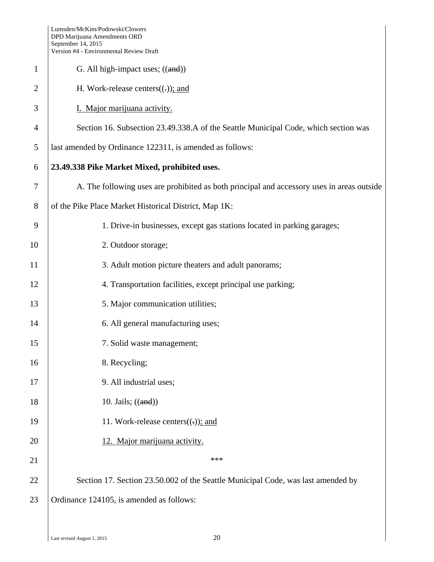|                | Version #4 - Environmental Review Draft                                                    |
|----------------|--------------------------------------------------------------------------------------------|
| $\mathbf{1}$   | G. All high-impact uses; $((and))$                                                         |
| $\overline{2}$ | H. Work-release centers $((.)$ ; and                                                       |
| 3              | I. Major marijuana activity.                                                               |
| 4              | Section 16. Subsection 23.49.338.A of the Seattle Municipal Code, which section was        |
| 5              | last amended by Ordinance 122311, is amended as follows:                                   |
| 6              | 23.49.338 Pike Market Mixed, prohibited uses.                                              |
| 7              | A. The following uses are prohibited as both principal and accessory uses in areas outside |
| 8              | of the Pike Place Market Historical District, Map 1K:                                      |
| 9              | 1. Drive-in businesses, except gas stations located in parking garages;                    |
| 10             | 2. Outdoor storage;                                                                        |
| 11             | 3. Adult motion picture theaters and adult panorams;                                       |
| 12             | 4. Transportation facilities, except principal use parking;                                |
| 13             | 5. Major communication utilities;                                                          |
| 14             | 6. All general manufacturing uses;                                                         |
| 15             | 7. Solid waste management;                                                                 |
| 16             | 8. Recycling;                                                                              |
| 17             | 9. All industrial uses;                                                                    |
| 18             | 10. Jails; $((and))$                                                                       |
| 19             | 11. Work-release centers $((.)$ ; and                                                      |
| 20             | 12. Major marijuana activity.                                                              |
| 21             | ***                                                                                        |
| 22             | Section 17. Section 23.50.002 of the Seattle Municipal Code, was last amended by           |
| 23             | Ordinance 124105, is amended as follows:                                                   |
|                |                                                                                            |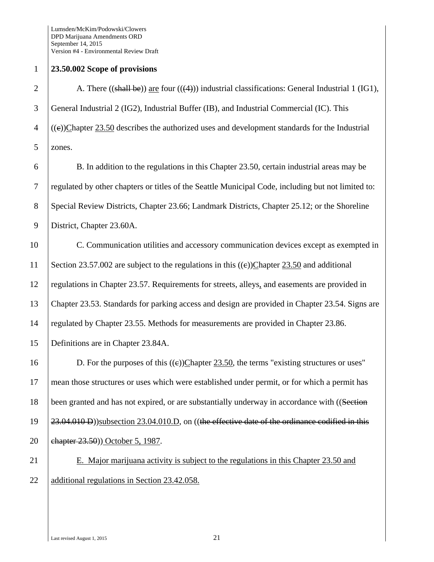## 1 **23.50.002 Scope of provisions**

2 A. There  $((shall be))$  are four  $((4))$  industrial classifications: General Industrial 1 (IG1), 3 General Industrial 2 (IG2), Industrial Buffer (IB), and Industrial Commercial (IC). This  $4 \mid ((e))$ Chapter 23.50 describes the authorized uses and development standards for the Industrial 5 zones.

6 B. In addition to the regulations in this Chapter 23.50, certain industrial areas may be 7 regulated by other chapters or titles of the Seattle Municipal Code, including but not limited to: 8 Special Review Districts, Chapter 23.66; Landmark Districts, Chapter 25.12; or the Shoreline 9 District, Chapter 23.60A.

10 C. Communication utilities and accessory communication devices except as exempted in 11 Section 23.57.002 are subject to the regulations in this  $((e))$ Chapter 23.50 and additional 12 regulations in Chapter 23.57. Requirements for streets, alleys, and easements are provided in 13 Chapter 23.53. Standards for parking access and design are provided in Chapter 23.54. Signs are 14 | regulated by Chapter 23.55. Methods for measurements are provided in Chapter 23.86. 15 Definitions are in Chapter 23.84A.

16 D. For the purposes of this  $((e))$ Chapter 23.50, the terms "existing structures or uses" 17 mean those structures or uses which were established under permit, or for which a permit has 18 been granted and has not expired, or are substantially underway in accordance with ((Section 19 23.04.010 D))subsection 23.04.010.D, on ((the effective date of the ordinance codified in this 20 **chapter 23.50**)) October 5, 1987.

21 E. Major marijuana activity is subject to the regulations in this Chapter 23.50 and 22 additional regulations in Section 23.42.058.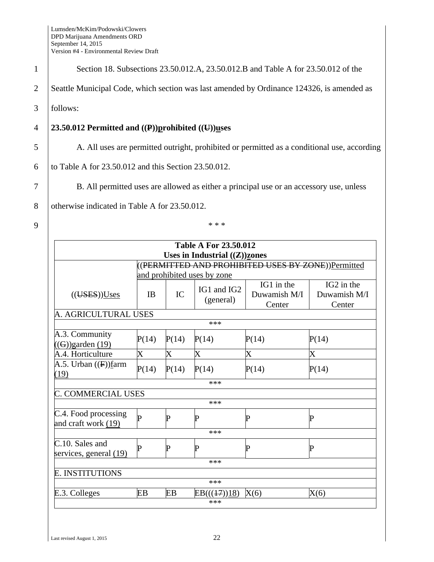| Section 18. Subsections 23.50.012.A, 23.50.012.B and Table A for 23.50.012 of the           |                           |             |                                           |                                                                                         |                                      |  |
|---------------------------------------------------------------------------------------------|---------------------------|-------------|-------------------------------------------|-----------------------------------------------------------------------------------------|--------------------------------------|--|
| Seattle Municipal Code, which section was last amended by Ordinance 124326, is amended as   |                           |             |                                           |                                                                                         |                                      |  |
| follows:                                                                                    |                           |             |                                           |                                                                                         |                                      |  |
| 23.50.012 Permitted and $((P))$ prohibited $((U))$ uses                                     |                           |             |                                           |                                                                                         |                                      |  |
| A. All uses are permitted outright, prohibited or permitted as a conditional use, according |                           |             |                                           |                                                                                         |                                      |  |
| to Table A for 23.50.012 and this Section 23.50.012.                                        |                           |             |                                           |                                                                                         |                                      |  |
|                                                                                             |                           |             |                                           | B. All permitted uses are allowed as either a principal use or an accessory use, unless |                                      |  |
| otherwise indicated in Table A for 23.50.012.                                               |                           |             |                                           |                                                                                         |                                      |  |
|                                                                                             |                           |             | * * *                                     |                                                                                         |                                      |  |
|                                                                                             |                           |             | <b>Table A For 23.50.012</b>              |                                                                                         |                                      |  |
|                                                                                             |                           |             | Uses in Industrial $((\mathbf{Z}))$ zones | (PERMITTED AND PROHIBITED USES BY ZONE))Permitted                                       |                                      |  |
|                                                                                             |                           |             | and prohibited uses by zone               |                                                                                         |                                      |  |
| (( <b>UES</b> )) <b>U ses</b>                                                               | <b>IB</b>                 | IC          | IG1 and IG2<br>(general)                  | IG1 in the<br>Duwamish M/I<br>Center                                                    | IG2 in the<br>Duwamish M/I<br>Center |  |
| A. AGRICULTURAL USES                                                                        |                           |             |                                           |                                                                                         |                                      |  |
|                                                                                             |                           |             | ***                                       |                                                                                         |                                      |  |
|                                                                                             |                           |             |                                           |                                                                                         |                                      |  |
| A.3. Community<br>$((G))$ garden (19)                                                       | P(14)                     | P(14)       | P(14)                                     | P(14)                                                                                   | P(14)                                |  |
| A.4. Horticulture                                                                           | $\boldsymbol{\mathrm{X}}$ | $\mathbf X$ | $\rm\overline{X}$                         | X                                                                                       | $\rm\overline{X}$                    |  |
| A.5. Urban $((F))$ farm<br>(19)                                                             | P(14)                     | P(14)       | P(14)                                     | P(14)                                                                                   | P(14)                                |  |

C.4. Food processing

C.10. Sales and

E. INSTITUTIONS

\*\*\*

\*\*\*

\*\*\*

\*\*\*

\*\*\*

C.4. Pood processing  $\begin{array}{c} \mathbf{p} \\ \mathbf{p} \end{array}$  P  $\begin{array}{c} \mathbf{p} \\ \mathbf{p} \end{array}$  P  $\begin{array}{c} \mathbf{p} \\ \mathbf{p} \end{array}$ 

 $\begin{array}{ccc} \text{c.10. Sates and} \\ \text{serves, general (19)} \end{array} \quad \mathbf{P} \qquad \qquad \mathbf{P} \qquad \qquad \mathbf{P} \qquad \qquad \mathbf{P}$ 

E.3. Colleges EB EB EB( $((17))18$ ) X(6) X(6)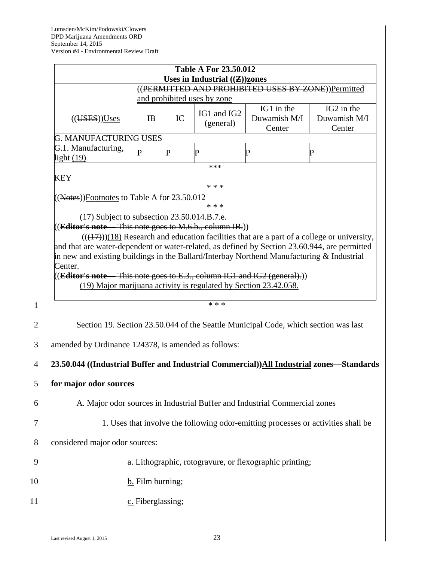|                                                                                                                                                                                                                                                                                                                                                                                                                                                                                                                                                                                |                                                                                   |    | <b>Table A For 23.50.012</b><br>Uses in Industrial $((\mathbf{Z}))$ zones |                                                                                     |                                                                                              |  |  |
|--------------------------------------------------------------------------------------------------------------------------------------------------------------------------------------------------------------------------------------------------------------------------------------------------------------------------------------------------------------------------------------------------------------------------------------------------------------------------------------------------------------------------------------------------------------------------------|-----------------------------------------------------------------------------------|----|---------------------------------------------------------------------------|-------------------------------------------------------------------------------------|----------------------------------------------------------------------------------------------|--|--|
|                                                                                                                                                                                                                                                                                                                                                                                                                                                                                                                                                                                | ((PERMITTED AND PROHIBITED USES BY ZONE))Permitted<br>and prohibited uses by zone |    |                                                                           |                                                                                     |                                                                                              |  |  |
| (( <b>UES</b> )) <b>U ses</b>                                                                                                                                                                                                                                                                                                                                                                                                                                                                                                                                                  | <b>IB</b>                                                                         | IC | IG1 and IG2<br>(general)                                                  | IG1 in the<br>Duwamish M/I<br>Center                                                | IG2 in the<br>Duwamish M/I<br>Center                                                         |  |  |
| <b>G. MANUFACTURING USES</b>                                                                                                                                                                                                                                                                                                                                                                                                                                                                                                                                                   |                                                                                   |    |                                                                           |                                                                                     |                                                                                              |  |  |
| G.1. Manufacturing,<br>light $(19)$                                                                                                                                                                                                                                                                                                                                                                                                                                                                                                                                            | D                                                                                 | P  | $\mathbf P$<br>***                                                        | P                                                                                   | $\bf P$                                                                                      |  |  |
| <b>KEY</b>                                                                                                                                                                                                                                                                                                                                                                                                                                                                                                                                                                     |                                                                                   |    | * * *                                                                     |                                                                                     |                                                                                              |  |  |
| $((Note)$ ) Footnotes to Table A for 23.50.012<br>$(17)$ Subject to subsection 23.50.014.B.7.e.<br>(Editor's note This note goes to M.6.b., column IB.))<br>and that are water-dependent or water-related, as defined by Section 23.60.944, are permitted<br>in new and existing buildings in the Ballard/Interbay Northend Manufacturing $\&$ Industrial<br>Center.<br>$((Editor's note - This note goes to E.3., column IG1 and IG2 (general).))$<br>(19) Major marijuana activity is regulated by Section 23.42.058.<br>amended by Ordinance 124378, is amended as follows: |                                                                                   |    | * * *<br>* * *                                                            | Section 19. Section 23.50.044 of the Seattle Municipal Code, which section was last | $(((17)))(18)$ Research and education facilities that are a part of a college or university, |  |  |
| 23.50.044 ((Industrial Buffer and Industrial Commercial))All Industrial zones-Standards                                                                                                                                                                                                                                                                                                                                                                                                                                                                                        |                                                                                   |    |                                                                           |                                                                                     |                                                                                              |  |  |
| for major odor sources                                                                                                                                                                                                                                                                                                                                                                                                                                                                                                                                                         |                                                                                   |    |                                                                           |                                                                                     |                                                                                              |  |  |
|                                                                                                                                                                                                                                                                                                                                                                                                                                                                                                                                                                                |                                                                                   |    |                                                                           | A. Major odor sources in Industrial Buffer and Industrial Commercial zones          |                                                                                              |  |  |
|                                                                                                                                                                                                                                                                                                                                                                                                                                                                                                                                                                                |                                                                                   |    |                                                                           |                                                                                     | 1. Uses that involve the following odor-emitting processes or activities shall be            |  |  |
| considered major odor sources:                                                                                                                                                                                                                                                                                                                                                                                                                                                                                                                                                 |                                                                                   |    |                                                                           |                                                                                     |                                                                                              |  |  |
|                                                                                                                                                                                                                                                                                                                                                                                                                                                                                                                                                                                |                                                                                   |    |                                                                           | a. Lithographic, rotogravure, or flexographic printing;                             |                                                                                              |  |  |
|                                                                                                                                                                                                                                                                                                                                                                                                                                                                                                                                                                                | $\underline{b}$ . Film burning;                                                   |    |                                                                           |                                                                                     |                                                                                              |  |  |
|                                                                                                                                                                                                                                                                                                                                                                                                                                                                                                                                                                                | c. Fiberglassing;                                                                 |    |                                                                           |                                                                                     |                                                                                              |  |  |
|                                                                                                                                                                                                                                                                                                                                                                                                                                                                                                                                                                                |                                                                                   |    |                                                                           |                                                                                     |                                                                                              |  |  |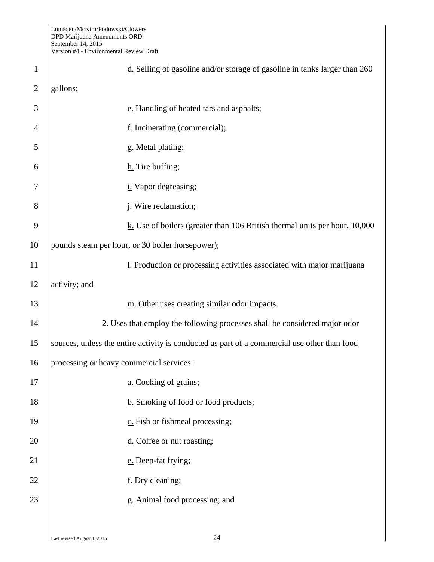| $\mathbf{1}$ | $\underline{d}$ . Selling of gasoline and/or storage of gasoline in tanks larger than 260    |
|--------------|----------------------------------------------------------------------------------------------|
| 2            | gallons;                                                                                     |
| 3            | e. Handling of heated tars and asphalts;                                                     |
| 4            | f. Incinerating (commercial);                                                                |
| 5            | g. Metal plating;                                                                            |
| 6            | h. Tire buffing;                                                                             |
| 7            | <i>i</i> . Vapor degreasing;                                                                 |
| 8            | <i>i</i> . Wire reclamation;                                                                 |
| 9            | $k$ . Use of boilers (greater than 106 British thermal units per hour, 10,000                |
| 10           | pounds steam per hour, or 30 boiler horsepower);                                             |
| 11           | 1. Production or processing activities associated with major marijuana                       |
| 12           | activity; and                                                                                |
| 13           | m. Other uses creating similar odor impacts.                                                 |
| 14           | 2. Uses that employ the following processes shall be considered major odor                   |
| 15           | sources, unless the entire activity is conducted as part of a commercial use other than food |
| 16           | processing or heavy commercial services:                                                     |
| 17           | a. Cooking of grains;                                                                        |
| 18           | b. Smoking of food or food products;                                                         |
| 19           | c. Fish or fishmeal processing;                                                              |
| 20           | $\underline{\text{d}}$ . Coffee or nut roasting;                                             |
| 21           | e. Deep-fat frying;                                                                          |
| 22           | f. Dry cleaning;                                                                             |
| 23           | g. Animal food processing; and                                                               |
|              |                                                                                              |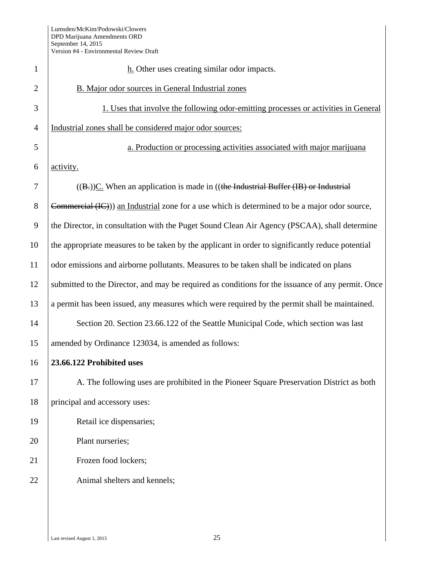| $\mathbf{1}$   | $h$ . Other uses creating similar odor impacts.                                                   |
|----------------|---------------------------------------------------------------------------------------------------|
| $\overline{2}$ | B. Major odor sources in General Industrial zones                                                 |
| 3              | 1. Uses that involve the following odor-emitting processes or activities in General               |
| $\overline{4}$ | Industrial zones shall be considered major odor sources:                                          |
| 5              | a. Production or processing activities associated with major marijuana                            |
| 6              | activity.                                                                                         |
| 7              | $((Bz))C$ . When an application is made in ((the Industrial Buffer (IB) or Industrial             |
| 8              | Commercial (IC)) an Industrial zone for a use which is determined to be a major odor source,      |
| 9              | the Director, in consultation with the Puget Sound Clean Air Agency (PSCAA), shall determine      |
| 10             | the appropriate measures to be taken by the applicant in order to significantly reduce potential  |
| 11             | odor emissions and airborne pollutants. Measures to be taken shall be indicated on plans          |
| 12             | submitted to the Director, and may be required as conditions for the issuance of any permit. Once |
| 13             | a permit has been issued, any measures which were required by the permit shall be maintained.     |
| 14             | Section 20. Section 23.66.122 of the Seattle Municipal Code, which section was last               |
| 15             | amended by Ordinance 123034, is amended as follows:                                               |
| 16             | 23.66.122 Prohibited uses                                                                         |
| 17             | A. The following uses are prohibited in the Pioneer Square Preservation District as both          |
| 18             | principal and accessory uses:                                                                     |
| 19             | Retail ice dispensaries;                                                                          |
| 20             | Plant nurseries;                                                                                  |
| 21             | Frozen food lockers;                                                                              |
| 22             | Animal shelters and kennels;                                                                      |
|                |                                                                                                   |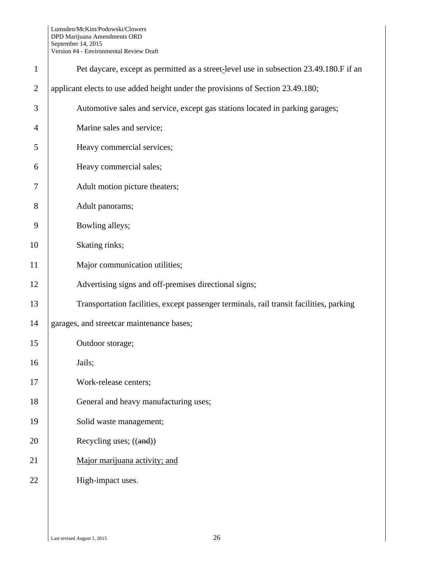| $\mathbf{1}$   | Pet daycare, except as permitted as a street-level use in subsection 23.49.180.F if an  |
|----------------|-----------------------------------------------------------------------------------------|
| $\overline{2}$ | applicant elects to use added height under the provisions of Section 23.49.180;         |
| 3              | Automotive sales and service, except gas stations located in parking garages;           |
| 4              | Marine sales and service;                                                               |
| 5              | Heavy commercial services;                                                              |
| 6              | Heavy commercial sales;                                                                 |
| 7              | Adult motion picture theaters;                                                          |
| 8              | Adult panorams;                                                                         |
| 9              | Bowling alleys;                                                                         |
| 10             | Skating rinks;                                                                          |
| 11             | Major communication utilities;                                                          |
| 12             | Advertising signs and off-premises directional signs;                                   |
| 13             | Transportation facilities, except passenger terminals, rail transit facilities, parking |
| 14             | garages, and streetcar maintenance bases;                                               |
| 15             | Outdoor storage;                                                                        |
| 16             | Jails;                                                                                  |
| 17             | Work-release centers;                                                                   |
| 18             | General and heavy manufacturing uses;                                                   |
| 19             | Solid waste management;                                                                 |
| 20             | Recycling uses; $((and))$                                                               |
| 21             | Major marijuana activity; and                                                           |
| 22             | High-impact uses.                                                                       |
|                |                                                                                         |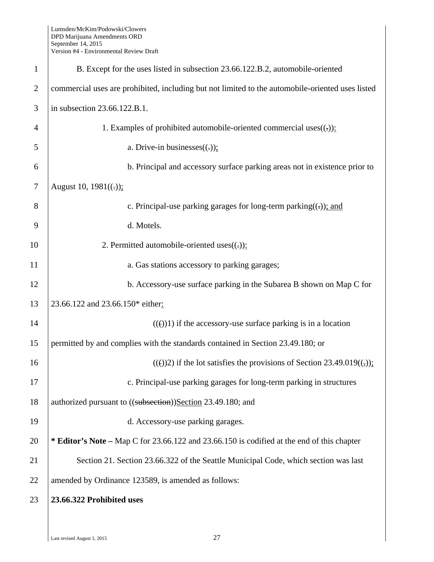| $\mathbf{1}$   | B. Except for the uses listed in subsection 23.66.122.B.2, automobile-oriented                   |  |  |
|----------------|--------------------------------------------------------------------------------------------------|--|--|
| $\overline{2}$ | commercial uses are prohibited, including but not limited to the automobile-oriented uses listed |  |  |
| 3              | in subsection 23.66.122.B.1.                                                                     |  |  |
| $\overline{4}$ | 1. Examples of prohibited automobile-oriented commercial uses $((.)$ :                           |  |  |
| 5              | a. Drive-in businesses $((.)$ ;                                                                  |  |  |
| 6              | b. Principal and accessory surface parking areas not in existence prior to                       |  |  |
| $\overline{7}$ | August 10, $1981((.));$                                                                          |  |  |
| 8              | c. Principal-use parking garages for long-term parking( $\left(\frac{1}{2}\right)$ ); and        |  |  |
| 9              | d. Motels.                                                                                       |  |  |
| 10             | 2. Permitted automobile-oriented uses $((.)$ :                                                   |  |  |
| 11             | a. Gas stations accessory to parking garages;                                                    |  |  |
| 12             | b. Accessory-use surface parking in the Subarea B shown on Map C for                             |  |  |
| 13             | 23.66.122 and 23.66.150* either:                                                                 |  |  |
| 14             | $(())$ if the accessory-use surface parking is in a location                                     |  |  |
| 15             | permitted by and complies with the standards contained in Section 23.49.180; or                  |  |  |
| 16             | $(())$ 2) if the lot satisfies the provisions of Section 23.49.019 $((,))$ ;                     |  |  |
| 17             | c. Principal-use parking garages for long-term parking in structures                             |  |  |
| 18             | authorized pursuant to ((subsection))Section 23.49.180; and                                      |  |  |
| 19             | d. Accessory-use parking garages.                                                                |  |  |
| 20             | * Editor's Note – Map C for 23.66.122 and 23.66.150 is codified at the end of this chapter       |  |  |
| 21             | Section 21. Section 23.66.322 of the Seattle Municipal Code, which section was last              |  |  |
| 22             | amended by Ordinance 123589, is amended as follows:                                              |  |  |
| 23             | 23.66.322 Prohibited uses                                                                        |  |  |
|                |                                                                                                  |  |  |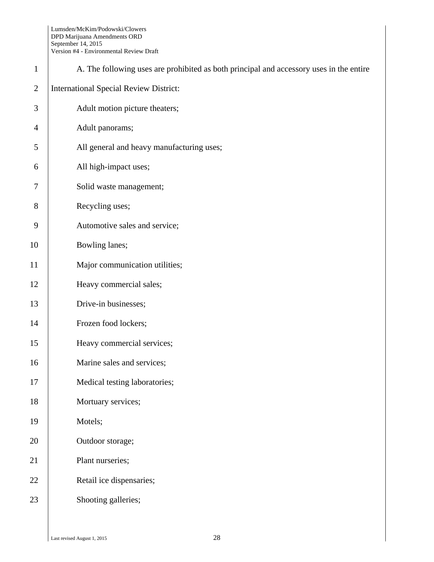| $\mathbf{1}$   | A. The following uses are prohibited as both principal and accessory uses in the entire |  |  |  |
|----------------|-----------------------------------------------------------------------------------------|--|--|--|
| $\mathfrak{2}$ | <b>International Special Review District:</b>                                           |  |  |  |
| 3              | Adult motion picture theaters;                                                          |  |  |  |
| $\overline{4}$ | Adult panorams;                                                                         |  |  |  |
| 5              | All general and heavy manufacturing uses;                                               |  |  |  |
| 6              | All high-impact uses;                                                                   |  |  |  |
| $\tau$         | Solid waste management;                                                                 |  |  |  |
| 8              | Recycling uses;                                                                         |  |  |  |
| 9              | Automotive sales and service;                                                           |  |  |  |
| 10             | Bowling lanes;                                                                          |  |  |  |
| 11             | Major communication utilities;                                                          |  |  |  |
| 12             | Heavy commercial sales;                                                                 |  |  |  |
| 13             | Drive-in businesses;                                                                    |  |  |  |
| 14             | Frozen food lockers;                                                                    |  |  |  |
| 15             | Heavy commercial services;                                                              |  |  |  |
| 16             | Marine sales and services;                                                              |  |  |  |
| 17             | Medical testing laboratories;                                                           |  |  |  |
| 18             | Mortuary services;                                                                      |  |  |  |
| 19             | Motels;                                                                                 |  |  |  |
| $20\,$         | Outdoor storage;                                                                        |  |  |  |
| 21             | Plant nurseries;                                                                        |  |  |  |
| 22             | Retail ice dispensaries;                                                                |  |  |  |
| 23             | Shooting galleries;                                                                     |  |  |  |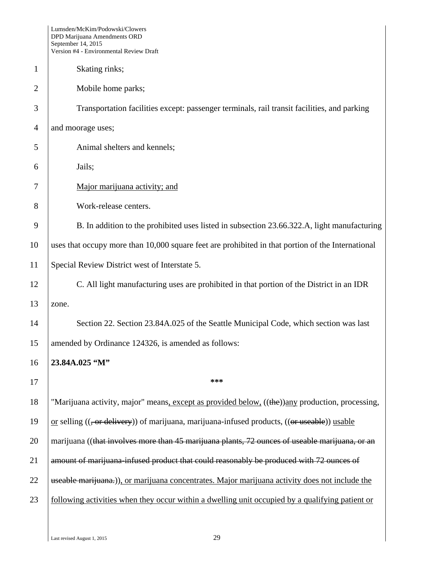|                | Lumsden/McKim/Podowski/Clowers<br>DPD Marijuana Amendments ORD<br>September 14, 2015<br>Version #4 - Environmental Review Draft |  |  |  |
|----------------|---------------------------------------------------------------------------------------------------------------------------------|--|--|--|
| 1              | Skating rinks;                                                                                                                  |  |  |  |
| $\overline{2}$ | Mobile home parks;                                                                                                              |  |  |  |
| 3              | Transportation facilities except: passenger terminals, rail transit facilities, and parking                                     |  |  |  |
| $\overline{4}$ | and moorage uses;                                                                                                               |  |  |  |
| 5              | Animal shelters and kennels;                                                                                                    |  |  |  |
| 6              | Jails;                                                                                                                          |  |  |  |
| 7              | Major marijuana activity; and                                                                                                   |  |  |  |
| 8              | Work-release centers.                                                                                                           |  |  |  |
| 9              | B. In addition to the prohibited uses listed in subsection 23.66.322.A, light manufacturing                                     |  |  |  |
| 10             | uses that occupy more than 10,000 square feet are prohibited in that portion of the International                               |  |  |  |
| 11             | Special Review District west of Interstate 5.                                                                                   |  |  |  |
| 12             | C. All light manufacturing uses are prohibited in that portion of the District in an IDR                                        |  |  |  |
| 13             | zone.                                                                                                                           |  |  |  |
| 14             | Section 22. Section 23.84A.025 of the Seattle Municipal Code, which section was last                                            |  |  |  |
| 15             | amended by Ordinance 124326, is amended as follows:                                                                             |  |  |  |
| 16             | 23.84A.025 "M"                                                                                                                  |  |  |  |
| 17             | ***                                                                                                                             |  |  |  |
| 18             | "Marijuana activity, major" means, except as provided below, ((the))any production, processing,                                 |  |  |  |
| 19             | or selling $((, or$ delivery)) of marijuana, marijuana-infused products, $((or$ useable)) usable                                |  |  |  |
| 20             | marijuana ((that involves more than 45 marijuana plants, 72 ounces of useable marijuana, or an                                  |  |  |  |
| 21             | amount of marijuana-infused product that could reasonably be produced with 72 ounces of                                         |  |  |  |
| 22             | useable marijuana.), or marijuana concentrates. Major marijuana activity does not include the                                   |  |  |  |
| 23             | following activities when they occur within a dwelling unit occupied by a qualifying patient or                                 |  |  |  |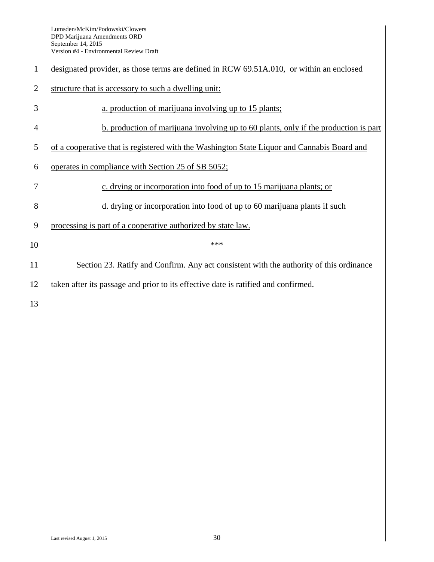| $\mathbf{1}$   | designated provider, as those terms are defined in RCW 69.51A.010, or within an enclosed    |  |  |  |  |
|----------------|---------------------------------------------------------------------------------------------|--|--|--|--|
| $\overline{2}$ | structure that is accessory to such a dwelling unit:                                        |  |  |  |  |
| 3              | a. production of marijuana involving up to 15 plants;                                       |  |  |  |  |
| 4              | b. production of marijuana involving up to 60 plants, only if the production is part        |  |  |  |  |
| 5              | of a cooperative that is registered with the Washington State Liquor and Cannabis Board and |  |  |  |  |
| 6              | operates in compliance with Section 25 of SB 5052;                                          |  |  |  |  |
| 7              | c. drying or incorporation into food of up to 15 marijuana plants; or                       |  |  |  |  |
| 8              | d. drying or incorporation into food of up to 60 marijuana plants if such                   |  |  |  |  |
| 9              | processing is part of a cooperative authorized by state law.                                |  |  |  |  |
| 10             | ***                                                                                         |  |  |  |  |
| 11             | Section 23. Ratify and Confirm. Any act consistent with the authority of this ordinance     |  |  |  |  |
| 12             | taken after its passage and prior to its effective date is ratified and confirmed.          |  |  |  |  |
| 13             |                                                                                             |  |  |  |  |
|                |                                                                                             |  |  |  |  |
|                |                                                                                             |  |  |  |  |